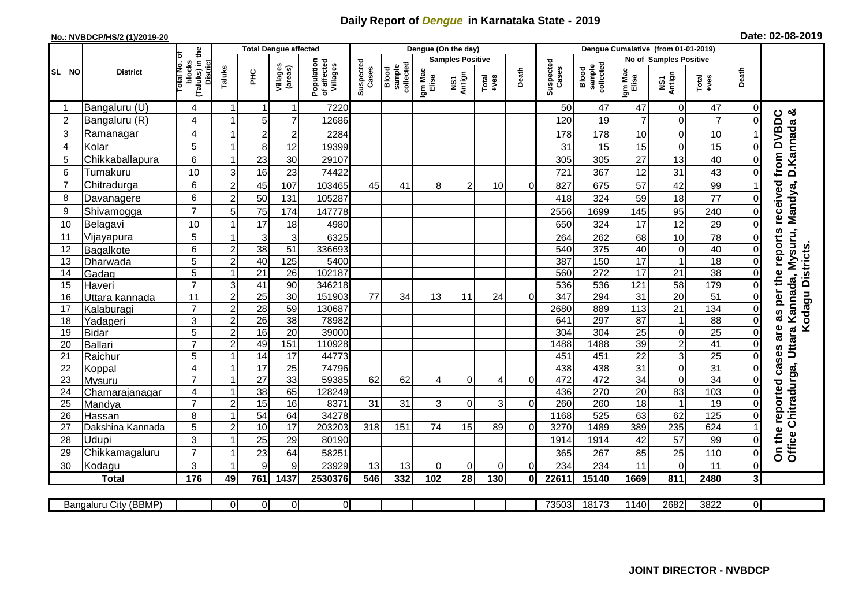## **Daily Report of** *Dengue* **in Karnataka State - 2019**

## **No.: NVBDCP/HS/2 (1)/2019-20 Date: 02-08-2019**

|                 |                       |                                                             |                  |                 | <b>Total Dengue affected</b> |                                       |                    |                              | Dengue (On the day) |                         |                  |                |                    |                              |                  |                               |                   |                |                                                            |
|-----------------|-----------------------|-------------------------------------------------------------|------------------|-----------------|------------------------------|---------------------------------------|--------------------|------------------------------|---------------------|-------------------------|------------------|----------------|--------------------|------------------------------|------------------|-------------------------------|-------------------|----------------|------------------------------------------------------------|
|                 |                       |                                                             |                  |                 |                              |                                       |                    |                              |                     | <b>Samples Positive</b> |                  |                |                    |                              |                  | <b>No of Samples Positive</b> |                   |                |                                                            |
| SL NO           | <b>District</b>       | (Taluks) in the<br>otal No. of<br>blocks<br><b>District</b> | Taluks           | Ξ               | Villages<br>(areas)          | Population<br>of affected<br>Villages | Suspected<br>Cases | sample<br>collected<br>Blood | Igm Mac<br>Elisa    | NS1<br>Antign           | Total<br>$+ve$ s | Death          | Suspected<br>Cases | collected<br>sample<br>Blood | Igm Mac<br>Elisa | NS1<br>Antign                 | $Tota$<br>$+ve$ s | Death          |                                                            |
|                 | Bangaluru (U)         | 4                                                           |                  |                 | 1                            | 7220                                  |                    |                              |                     |                         |                  |                | 50                 | 47                           | 47               | $\Omega$                      | 47                | $\Omega$       |                                                            |
| $\overline{2}$  | Bangaluru (R)         | 4                                                           |                  | 5               | $\overline{7}$               | 12686                                 |                    |                              |                     |                         |                  |                | 120                | 19                           | $\overline{7}$   | 0                             | $\overline{7}$    | $\Omega$       | ංඊ                                                         |
| 3               | Ramanagar             | 4                                                           |                  | $\overline{c}$  | $\overline{c}$               | 2284                                  |                    |                              |                     |                         |                  |                | 178                | 178                          | 10               | $\mathbf 0$                   | 10                |                | from DVBDC<br>Mandya, D. Kannada                           |
| $\overline{4}$  | Kolar                 | 5                                                           |                  | 8               | 12                           | 19399                                 |                    |                              |                     |                         |                  |                | 31                 | 15                           | 15               | $\mathbf 0$                   | 15                | $\Omega$       |                                                            |
| 5               | Chikkaballapura       | 6                                                           |                  | 23              | 30                           | 29107                                 |                    |                              |                     |                         |                  |                | 305                | 305                          | 27               | 13                            | 40                | $\Omega$       |                                                            |
| $6\phantom{1}6$ | Tumakuru              | 10                                                          | 3                | 16              | $\overline{23}$              | 74422                                 |                    |                              |                     |                         |                  |                | 721                | 367                          | 12               | 31                            | 43                | 0              |                                                            |
| $\overline{7}$  | Chitradurga           | 6                                                           | $\overline{2}$   | 45              | 107                          | 103465                                | 45                 | 41                           | 8                   | $\overline{2}$          | 10               | $\Omega$       | 827                | 675                          | 57               | 42                            | 99                |                |                                                            |
| 8               | Davanagere            | 6                                                           | $\overline{2}$   | 50              | 131                          | 105287                                |                    |                              |                     |                         |                  |                | 418                | 324                          | 59               | 18                            | $\overline{77}$   | $\Omega$       |                                                            |
| 9               | Shivamogga            | $\overline{7}$                                              | 5                | 75              | 174                          | 147778                                |                    |                              |                     |                         |                  |                | 2556               | 1699                         | 145              | 95                            | 240               | 0              | received                                                   |
| 10              | Belagavi              | 10                                                          |                  | 17              | 18                           | 4980                                  |                    |                              |                     |                         |                  |                | 650                | 324                          | 17               | 12                            | 29                | 0              |                                                            |
| 11              | Vijayapura            | 5                                                           |                  | 3               | 3                            | 6325                                  |                    |                              |                     |                         |                  |                | 264                | 262                          | 68               | 10                            | 78                | 0              | as per the reports<br>Chitradurga, Uttara Kannada, Mysuru, |
| 12              | Bagalkote             | 6                                                           | $\boldsymbol{2}$ | 38              | 51                           | 336693                                |                    |                              |                     |                         |                  |                | 540                | $\overline{375}$             | 40               | $\mathbf 0$                   | 40                | 0              | Kodagu Districts.                                          |
| 13              | Dharwada              | 5                                                           | $\overline{2}$   | 40              | 125                          | 5400                                  |                    |                              |                     |                         |                  |                | 387                | 150                          | $\overline{17}$  | $\mathbf{1}$                  | 18                | $\Omega$       |                                                            |
| 14              | Gadag                 | $\overline{5}$                                              |                  | $\overline{21}$ | $\overline{26}$              | 102187                                |                    |                              |                     |                         |                  |                | 560                | 272                          | 17               | 21                            | 38                | 0              |                                                            |
| 15              | Haveri                | $\overline{7}$                                              | 3                | $\overline{41}$ | 90                           | 346218                                |                    |                              |                     |                         |                  |                | 536                | 536                          | 121              | 58                            | 179               | $\mathbf 0$    |                                                            |
| 16              | Uttara kannada        | 11                                                          | $\overline{c}$   | $\overline{25}$ | 30                           | 151903                                | 77                 | 34                           | 13                  | 11                      | 24               | $\Omega$       | 347                | 294                          | $\overline{31}$  | $\overline{20}$               | 51                | $\Omega$       |                                                            |
| 17              | Kalaburagi            | $\overline{7}$                                              | $\overline{c}$   | $\overline{28}$ | $\overline{59}$              | 130687                                |                    |                              |                     |                         |                  |                | 2680               | 889                          | 113              | 21                            | 134               | $\Omega$       |                                                            |
| 18              | Yadageri              | 3                                                           | $\overline{2}$   | 26              | 38                           | 78982                                 |                    |                              |                     |                         |                  |                | 641                | 297                          | 87               | $\mathbf{1}$                  | 88                | $\Omega$       |                                                            |
| 19              | Bidar                 | 5                                                           | $\overline{2}$   | 16              | 20                           | 39000                                 |                    |                              |                     |                         |                  |                | 304                | 304                          | 25               | $\boldsymbol{0}$              | $\overline{25}$   | $\overline{0}$ | are                                                        |
| 20              | Ballari               | $\overline{7}$                                              | $\overline{2}$   | 49              | 151                          | 110928                                |                    |                              |                     |                         |                  |                | 1488               | 1488                         | $\overline{39}$  | $\overline{2}$                | $\overline{41}$   | 0              |                                                            |
| 21              | Raichur               | 5                                                           |                  | 14              | $\overline{17}$              | 44773                                 |                    |                              |                     |                         |                  |                | 451                | 451                          | $\overline{22}$  | 3                             | $\overline{25}$   | 0              |                                                            |
| 22              | Koppal                | 4                                                           |                  | 17              | 25                           | 74796                                 |                    |                              |                     |                         |                  |                | 438                | 438                          | 31               | $\mathbf 0$                   | 31                | 0              |                                                            |
| 23              | Mysuru                | $\overline{7}$                                              |                  | $\overline{27}$ | 33                           | 59385                                 | 62                 | 62                           | 4                   | $\overline{0}$          | 4                | $\overline{0}$ | 472                | 472                          | 34               | $\overline{0}$                | 34                | 0              |                                                            |
| 24              | Chamarajanagar        | $\overline{4}$                                              |                  | 38              | 65                           | 128249                                |                    |                              |                     |                         |                  |                | 436                | 270                          | 20               | 83                            | 103               | $\Omega$       |                                                            |
| 25              | Mandya                | $\overline{7}$                                              | $\overline{2}$   | 15              | 16                           | 8371                                  | $\overline{31}$    | 31                           | 3                   | 0                       | 3                | $\Omega$       | 260                | 260                          | 18               | $\overline{1}$                | 19                | $\mathbf 0$    |                                                            |
| 26              | Hassan                | 8                                                           |                  | 54              | 64                           | 34278<br>203203                       |                    |                              |                     |                         |                  | $\Omega$       | 1168<br>3270       | 525<br>1489                  | 63               | 62<br>235                     | 125<br>624        | $\pmb{0}$      |                                                            |
| 27              | Dakshina Kannada      | 5                                                           | $\overline{2}$   | $\overline{10}$ | 17                           |                                       | 318                | 151                          | 74                  | 15                      | 89               |                |                    |                              | 389              |                               |                   |                |                                                            |
| 28              | <b>Udupi</b>          | 3<br>$\overline{7}$                                         |                  | 25              | 29                           | 80190                                 |                    |                              |                     |                         |                  |                | 1914               | 1914                         | 42               | 57                            | 99                | 0              | On the reported cases<br>Office <sup>(</sup>               |
| 29              | Chikkamagaluru        |                                                             |                  | 23              | 64                           | 58251                                 |                    |                              |                     |                         |                  |                | 365                | 267                          | 85               | 25                            | 110               | $\Omega$       |                                                            |
| 30              | Kodagu                | 3                                                           |                  | 9               | 9                            | 23929                                 | 13                 | 13                           | $\Omega$            | $\Omega$                | 0                | $\Omega$       | 234                | 234                          | 11               | $\mathbf 0$                   | 11                | 0              |                                                            |
|                 | <b>Total</b>          | 176                                                         | 49               | 761             | 1437                         | 2530376                               | 546                | 332                          | 102                 | 28                      | 130              | $\mathbf{0}$   | 22611              | 15140                        | 1669             | 811                           | 2480              | 3 <sup>l</sup> |                                                            |
|                 | Bangaluru City (BBMP) |                                                             | $\Omega$         | $\overline{0}$  | $\overline{0}$               | $\overline{0}$                        |                    |                              |                     |                         |                  |                | 73503              | 18173                        | 1140             | 2682                          | 3822              | οI             |                                                            |